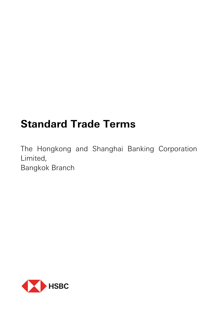# **Standard Trade Terms**

The Hongkong and Shanghai Banking Corporation Limited, Bangkok Branch

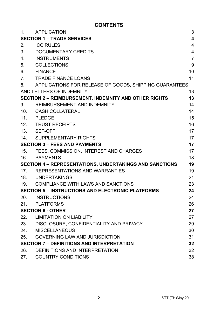# **CONTENTS**

| 1.  | <b>APPLICATION</b>                                           | 3                       |
|-----|--------------------------------------------------------------|-------------------------|
|     | <b>SECTION 1 - TRADE SERVICES</b>                            | $\overline{\mathbf{4}}$ |
| 2.  | <b>ICC RULES</b>                                             | 4                       |
| 3.  | DOCUMENTARY CREDITS                                          | 4                       |
| 4.  | <b>INSTRUMENTS</b>                                           | $\overline{7}$          |
| 5.  | <b>COLLECTIONS</b>                                           | 9                       |
| 6.  | <b>FINANCE</b>                                               | 10                      |
| 7.  | <b>TRADE FINANCE LOANS</b>                                   | 11                      |
| 8.  | APPLICATIONS FOR RELEASE OF GOODS, SHIPPING GUARANTEES       |                         |
|     | AND LETTERS OF INDEMNITY                                     | 13                      |
|     | <b>SECTION 2 - REIMBURSEMENT, INDEMNITY AND OTHER RIGHTS</b> | 13                      |
| 9.  | REIMBURSEMENT AND INDEMNITY                                  | 14                      |
| 10. | <b>CASH COLLATERAL</b>                                       | 14                      |
| 11. | <b>PLEDGE</b>                                                | 15                      |
| 12. | <b>TRUST RECEIPTS</b>                                        | 16                      |
| 13. | SET-OFF                                                      | 17                      |
| 14. | SUPPLEMENTARY RIGHTS                                         | 17                      |
|     | <b>SECTION 3 - FEES AND PAYMENTS</b>                         | 17                      |
| 15. | FEES, COMMISSION, INTEREST AND CHARGES                       | 17                      |
| 16. | PAYMENTS                                                     | 18                      |
|     | SECTION 4 - REPRESENTATIONS, UNDERTAKINGS AND SANCTIONS      | 19                      |
|     | 17. REPRESENTATIONS AND WARRANTIES                           | 19                      |
|     | 18. UNDERTAKINGS                                             | 21                      |
| 19. | COMPLIANCE WITH LAWS AND SANCTIONS                           | 23                      |
|     | <b>SECTION 5 – INSTRUCTIONS AND ELECTRONIC PLATFORMS</b>     | 24                      |
| 20. | INSTRUCTIONS                                                 | 24                      |
| 21. | PLATFORMS                                                    | 26                      |
|     | <b>SECTION 6 - OTHER</b>                                     | 27                      |
| 22. | <b>LIMITATION ON LIABILITY</b>                               | 27                      |
| 23. | DISCLOSURE, CONFIDENTIALITY AND PRIVACY                      | 29                      |
| 24. | <b>MISCELLANEOUS</b>                                         | 30                      |
| 25. | <b>GOVERNING LAW AND JURISDICTION</b>                        | 31                      |
|     | <b>SECTION 7 - DEFINITIONS AND INTERPRETATION</b>            | 32                      |
| 26. | DEFINITIONS AND INTERPRETATION                               | 32                      |
| 27. | <b>COUNTRY CONDITIONS</b>                                    | 38                      |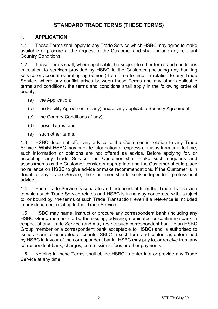# **STANDARD TRADE TERMS (THESE TERMS)**

## **1. APPLICATION**

1.1 These Terms shall apply to any Trade Service which HSBC may agree to make available or procure at the request of the Customer and shall include any relevant Country Conditions.

1.2 These Terms shall, where applicable, be subject to other terms and conditions in relation to services provided by HSBC to the Customer (including any banking service or account operating agreement) from time to time. In relation to any Trade Service, where any conflict arises between these Terms and any other applicable terms and conditions, the terms and conditions shall apply in the following order of priority:

- (a) the Application;
- (b) the Facility Agreement (if any) and/or any applicable Security Agreement;
- (c) the Country Conditions (if any);
- (d) these Terms; and
- (e) such other terms.

1.3 HSBC does not offer any advice to the Customer in relation to any Trade Service. Whilst HSBC may provide information or express opinions from time to time, such information or opinions are not offered as advice. Before applying for, or accepting, any Trade Service, the Customer shall make such enquiries and assessments as the Customer considers appropriate and the Customer should place no reliance on HSBC to give advice or make recommendations. If the Customer is in doubt of any Trade Service, the Customer should seek independent professional advice.

1.4 Each Trade Service is separate and independent from the Trade Transaction to which such Trade Service relates and HSBC is in no way concerned with, subject to, or bound by, the terms of such Trade Transaction, even if a reference is included in any document relating to that Trade Service.

1.5 HSBC may name, instruct or procure any correspondent bank (including any HSBC Group member) to be the issuing, advising, nominated or confirming bank in respect of any Trade Service (and may restrict such correspondent bank to an HSBC Group member or a correspondent bank acceptable to HSBC) and is authorised to issue a counter-guarantee or counter-SBLC in such form and content as determined by HSBC in favour of the correspondent bank. HSBC may pay to, or receive from any correspondent bank, charges, commissions, fees or other payments.

1.6 Nothing in these Terms shall oblige HSBC to enter into or provide any Trade Service at any time.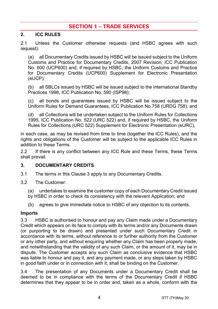# **SECTION 1 – TRADE SERVICES**

## **2. ICC RULES**

2.1 Unless the Customer otherwise requests (and HSBC agrees with such request):

(a) all Documentary Credits issued by HSBC will be issued subject to the Uniform Customs and Practice for Documentary Credits, 2007 Revision, ICC Publication No. 600 (UCP600) and, if required by HSBC, the Uniform Customs and Practice for Documentary Credits (UCP600) Supplement for Electronic Presentation (eUCP);

(b) all SBLCs issued by HSBC will be issued subject to the International Standby Practices 1998, ICC Publication No. 590 (ISP98);

(c) all bonds and guarantees issued by HSBC will be issued subject to the Uniform Rules for Demand Guarantees, ICC Publication No.758 (URDG 758); and

(d) all Collections will be undertaken subject to the Uniform Rules for Collections 1995, ICC Publication No. 522 (URC 522) and, if required by HSBC, the Uniform Rules for Collections (URC 522) Supplement for Electronic Presentation (eURC),

in each case, as may be revised from time to time (together the ICC Rules), and the rights and obligations of the Customer will be subject to the applicable ICC Rules in addition to these Terms.

2.2 If there is any conflict between any ICC Rule and these Terms, these Terms shall prevail.

#### <span id="page-3-0"></span>**3. DOCUMENTARY CREDITS**

- 3.1 The terms in this Claus[e 3](#page-3-0) apply to any Documentary Credits.
- 3.2 The Customer:

(a) undertakes to examine the customer copy of each Documentary Credit issued by HSBC in order to check its consistency with the relevant Application; and

(b) agrees to give immediate notice to HSBC of any objection to its contents.

#### **Imports**

3.3 HSBC is authorised to honour and pay any Claim made under a Documentary Credit which appears on its face to comply with its terms and/or any Documents drawn (or purporting to be drawn) and presented under such Documentary Credit in accordance with its terms, without reference to or further authority from the Customer or any other party, and without enquiring whether any Claim has been properly made, and notwithstanding that the validity of any such Claim, or the amount of it, may be in dispute. The Customer accepts any such Claim as conclusive evidence that HSBC was liable to honour and pay it, and any payment made, or any steps taken by HSBC in good faith under or in connection with it, shall be binding on the Customer.

3.4 The presentation of any Documents under a Documentary Credit shall be deemed to be in compliance with the terms of the Documentary Credit if HSBC determines that they appear to be in order and, taken as a whole, conform with the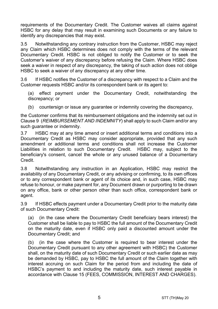requirements of the Documentary Credit. The Customer waives all claims against HSBC for any delay that may result in examining such Documents or any failure to identify any discrepancies that may exist.

3.5 Notwithstanding any contrary instruction from the Customer, HSBC may reject any Claim which HSBC determines does not comply with the terms of the relevant Documentary Credit. HSBC is not obliged to notify the Customer or to seek the Customer's waiver of any discrepancy before refusing the Claim. Where HSBC does seek a waiver in respect of any discrepancy, the taking of such action does not oblige HSBC to seek a waiver of any discrepancy at any other time.

3.6 If HSBC notifies the Customer of a discrepancy with respect to a Claim and the Customer requests HSBC and/or its correspondent bank or its agent to:

(a) effect payment under the Documentary Credit, notwithstanding the discrepancy; or

(b) countersign or issue any quarantee or indemnity covering the discrepancy,

the Customer confirms that its reimbursement obligations and the indemnity set out in Claus[e 9](#page-13-0) (*[REIMBURSEMENT AND INDEMNITY](#page-13-0)*) shall apply to such Claim and/or any such guarantee or indemnity.

3.7 HSBC may at any time amend or insert additional terms and conditions into a Documentary Credit as HSBC may consider appropriate, provided that any such amendment or additional terms and conditions shall not increase the Customer Liabilities in relation to such Documentary Credit. HSBC may, subject to the beneficiary's consent, cancel the whole or any unused balance of a Documentary Credit.

3.8 Notwithstanding any instruction in an Application, HSBC may restrict the availability of any Documentary Credit, or any advising or confirming, to its own offices or to any correspondent bank or agent of its choice and, in such case, HSBC may refuse to honour, or make payment for, any Document drawn or purporting to be drawn on any office, bank or other person other than such office, correspondent bank or agent.

3.9 If HSBC effects payment under a Documentary Credit prior to the maturity date of such Documentary Credit:

(a) (in the case where the Documentary Credit beneficiary bears interest) the Customer shall be liable to pay to HSBC the full amount of the Documentary Credit on the maturity date, even if HSBC only paid a discounted amount under the Documentary Credit; and

(b) (in the case where the Customer is required to bear interest under the Documentary Credit pursuant to any other agreement with HSBC) the Customer shall, on the maturity date of such Documentary Credit or such earlier date as may be demanded by HSBC, pay to HSBC the full amount of the Claim together with interest accruing on such Claim for the period from and including the date of HSBC's payment to and including the maturity date, such interest payable in accordance with Clause [15](#page-16-0) [\(FEES, COMMISSION, INTEREST AND CHARGES\)](#page-16-0).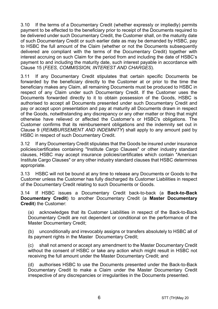3.10 If the terms of a Documentary Credit (whether expressly or impliedly) permits payment to be effected to the beneficiary prior to receipt of the Documents required to be delivered under such Documentary Credit, the Customer shall, on the maturity date of such Documentary Credit or such earlier date as may be demanded by HSBC, pay to HSBC the full amount of the Claim (whether or not the Documents subsequently delivered are compliant with the terms of the Documentary Credit) together with interest accruing on such Claim for the period from and including the date of HSBC's payment to and including the maturity date, such interest payable in accordance with Clause [15](#page-16-0) (*[FEES, COMMISSION, INTEREST AND CHARGES](#page-16-0)*).

3.11 If any Documentary Credit stipulates that certain specific Documents be forwarded by the beneficiary directly to the Customer at or prior to the time the beneficiary makes any Claim, all remaining Documents must be produced to HSBC in respect of any Claim under such Documentary Credit. If the Customer uses the Documents forwarded directly to it to obtain possession of the Goods, HSBC is authorised to accept all Documents presented under such Documentary Credit and pay or accept upon presentation and pay at maturity all Documents drawn in respect of the Goods, notwithstanding any discrepancy or any other matter or thing that might otherwise have relieved or affected the Customer's or HSBC's obligations. The Customer confirms that its reimbursement obligations and the indemnity set out in Clause [9](#page-13-0) (*[REIMBURSEMENT AND INDEMNITY](#page-13-0)*) shall apply to any amount paid by HSBC in respect of such Documentary Credit.

3.12 If any Documentary Credit stipulates that the Goods be insured under insurance policies/certificates containing "Institute Cargo Clauses" or other industry standard clauses, HSBC may accept insurance policies/certificates which contain "American Institute Cargo Clauses" or any other industry standard clauses that HSBC determines appropriate.

3.13 HSBC will not be bound at any time to release any Documents or Goods to the Customer unless the Customer has fully discharged its Customer Liabilities in respect of the Documentary Credit relating to such Documents or Goods.

<span id="page-5-0"></span>3.14 If HSBC issues a Documentary Credit back-to-back (a **Back-to-Back Documentary Credit**) to another Documentary Credit (a **Master Documentary Credit**) the Customer:

(a) acknowledges that its Customer Liabilities in respect of the Back-to-Back Documentary Credit are not dependent or conditional on the performance of the Master Documentary Credit;

(b) unconditionally and irrevocably assigns or transfers absolutely to HSBC all of its payment rights in the Master Documentary Credit;

(c) shall not amend or accept any amendment to the Master Documentary Credit without the consent of HSBC or take any action which might result in HSBC not receiving the full amount under the Master Documentary Credit; and

(d) authorises HSBC to use the Documents presented under the Back-to-Back Documentary Credit to make a Claim under the Master Documentary Credit irrespective of any discrepancies or irregularities in the Documents presented.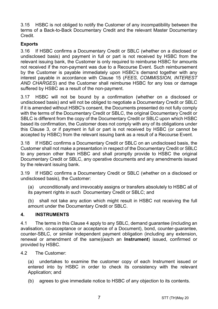3.15 HSBC is not obliged to notify the Customer of any incompatibility between the terms of a Back-to-Back Documentary Credit and the relevant Master Documentary Credit.

## **Exports**

3.16 If HSBC confirms a Documentary Credit or SBLC (whether on a disclosed or undisclosed basis) and payment in full or part is not received by HSBC from the relevant issuing bank, the Customer is only required to reimburse HSBC for amounts not received if the non-payment was due to a Recourse Event. Such reimbursement by the Customer is payable immediately upon HSBC's demand together with any interest payable in accordance with Clause [15](#page-16-0) (*[FEES, COMMISSION, INTEREST](#page-16-0)  [AND CHARGES](#page-16-0)*) and the Customer shall reimburse HSBC for any loss or damage suffered by HSBC as a result of the non-payment.

3.17 HSBC will not be bound by a confirmation (whether on a disclosed or undisclosed basis) and will not be obliged to negotiate a Documentary Credit or SBLC if it is amended without HSBC's consent, the Documents presented do not fully comply with the terms of the Documentary Credit or SBLC, the original Documentary Credit or SBLC is different from the copy of the Documentary Credit or SBLC upon which HSBC based its confirmation, the Customer does not comply with any of its obligations under this Clause [3,](#page-3-0) or if payment in full or part is not received by HSBC (or cannot be accepted by HSBC) from the relevant issuing bank as a result of a Recourse Event.

3.18 If HSBC confirms a Documentary Credit or SBLC on an undisclosed basis, the Customer shall not make a presentation in respect of the Documentary Credit or SBLC to any person other than HSBC and shall promptly provide to HSBC the original Documentary Credit or SBLC, any operative documents and any amendments issued by the relevant issuing bank.

3.19 If HSBC confirms a Documentary Credit or SBLC (whether on a disclosed or undisclosed basis), the Customer:

(a) unconditionally and irrevocably assigns or transfers absolutely to HSBC all of its payment rights in such Documentary Credit or SBLC; and

(b) shall not take any action which might result in HSBC not receiving the full amount under the Documentary Credit or SBLC.

## <span id="page-6-0"></span>**4. INSTRUMENTS**

4.1 The terms in this Clause [4](#page-6-0) apply to any SBLC, demand guarantee (including an avalisation, co-acceptance or acceptance of a Document), bond, counter-guarantee, counter-SBLC, or similar independent payment obligation (including any extension, renewal or amendment of the same)(each an **Instrument**) issued, confirmed or provided by HSBC.

4.2 The Customer:

(a) undertakes to examine the customer copy of each Instrument issued or entered into by HSBC in order to check its consistency with the relevant Application; and

(b) agrees to give immediate notice to HSBC of any objection to its contents.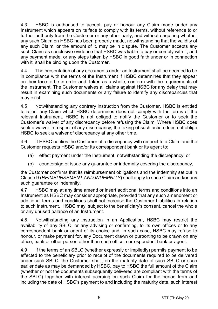4.3 HSBC is authorised to accept, pay or honour any Claim made under any Instrument which appears on its face to comply with its terms, without reference to or further authority from the Customer or any other party, and without enquiring whether any such Claim on HSBC has been properly made, notwithstanding that the validity of any such Claim, or the amount of it, may be in dispute. The Customer accepts any such Claim as conclusive evidence that HSBC was liable to pay or comply with it, and any payment made, or any steps taken by HSBC in good faith under or in connection with it, shall be binding upon the Customer.

4.4 The presentation of any documents under an Instrument shall be deemed to be in compliance with the terms of the Instrument if HSBC determines that they appear on their face to be in order and, taken as a whole, conform with the requirements of the Instrument. The Customer waives all claims against HSBC for any delay that may result in examining such documents or any failure to identify any discrepancies that may exist.

4.5 Notwithstanding any contrary instruction from the Customer, HSBC is entitled to reject any Claim which HSBC determines does not comply with the terms of the relevant Instrument. HSBC is not obliged to notify the Customer or to seek the Customer's waiver of any discrepancy before refusing the Claim. Where HSBC does seek a waiver in respect of any discrepancy, the taking of such action does not oblige HSBC to seek a waiver of discrepancy at any other time.

4.6 If HSBC notifies the Customer of a discrepancy with respect to a Claim and the Customer requests HSBC and/or its correspondent bank or its agent to:

- (a) effect payment under the Instrument, notwithstanding the discrepancy; or
- (b) countersign or issue any guarantee or indemnity covering the discrepancy,

the Customer confirms that its reimbursement obligations and the indemnity set out in Clause [9](#page-13-0) (*[REIMBURSEMENT AND INDEMNITY](#page-13-0)*) shall apply to such Claim and/or any such quarantee or indemnity.

4.7 HSBC may at any time amend or insert additional terms and conditions into an Instrument as HSBC may consider appropriate, provided that any such amendment or additional terms and conditions shall not increase the Customer Liabilities in relation to such Instrument. HSBC may, subject to the beneficiary's consent, cancel the whole or any unused balance of an Instrument.

4.8 Notwithstanding any instruction in an Application, HSBC may restrict the availability of any SBLC, or any advising or confirming, to its own offices or to any correspondent bank or agent of its choice and, in such case, HSBC may refuse to honour, or make payment for, any Document drawn or purporting to be drawn on any office, bank or other person other than such office, correspondent bank or agent.

4.9 If the terms of an SBLC (whether expressly or impliedly) permits payment to be effected to the beneficiary prior to receipt of the documents required to be delivered under such SBLC, the Customer shall, on the maturity date of such SBLC or such earlier date as may be demanded by HSBC, pay to HSBC the full amount of the Claim (whether or not the documents subsequently delivered are compliant with the terms of the SBLC) together with interest accruing on such Claim for the period from and including the date of HSBC's payment to and including the maturity date, such interest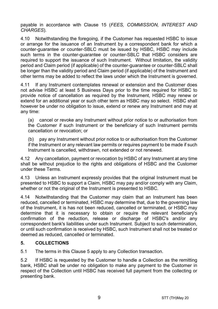payable in accordance with Clause [15](#page-16-0) (*[FEES, COMMISSION, INTEREST AND](#page-16-0)  [CHARGES](#page-16-0)*).

4.10 Notwithstanding the foregoing, if the Customer has requested HSBC to issue or arrange for the issuance of an Instrument by a correspondent bank for which a counter-guarantee or counter-SBLC must be issued by HSBC, HSBC may include such terms in the counter-guarantee or counter-SBLC that HSBC considers are required to support the issuance of such Instrument. Without limitation, the validity period and Claim period (if applicable) of the counter-guarantee or counter-SBLC shall be longer than the validity period and Claim period (if applicable) of the Instrument and other terms may be added to reflect the laws under which the Instrument is governed.

4.11 If any Instrument contemplates renewal or extension and the Customer does not advise HSBC at least 5 Business Days prior to the time required for HSBC to provide notice of cancellation as required by the Instrument, HSBC may renew or extend for an additional year or such other term as HSBC may so select. HSBC shall however be under no obligation to issue, extend or renew any Instrument and may at any time:

(a) cancel or revoke any Instrument without prior notice to or authorisation from the Customer if such Instrument or the beneficiary of such Instrument permits cancellation or revocation; or

(b) pay any Instrument without prior notice to or authorisation from the Customer if the Instrument or any relevant law permits or requires payment to be made if such Instrument is cancelled, withdrawn, not extended or not renewed.

4.12 Any cancellation, payment or revocation by HSBC of any Instrument at any time shall be without prejudice to the rights and obligations of HSBC and the Customer under these Terms.

4.13 Unless an Instrument expressly provides that the original Instrument must be presented to HSBC to support a Claim, HSBC may pay and/or comply with any Claim, whether or not the original of the Instrument is presented to HSBC.

4.14 Notwithstanding that the Customer may claim that an Instrument has been reduced, cancelled or terminated, HSBC may determine that, due to the governing law of the Instrument, it is has not been reduced, cancelled or terminated, or HSBC may determine that it is necessary to obtain or require the relevant beneficiary's confirmation of the reduction, release or discharge of HSBC's and/or any correspondent bank's liabilities under such Instrument. Subject to such determination, or until such confirmation is received by HSBC, such Instrument shall not be treated or deemed as reduced, cancelled or terminated.

# <span id="page-8-0"></span>**5. COLLECTIONS**

5.1 The terms in this Claus[e 5](#page-8-0) apply to any Collection transaction.

5.2 If HSBC is requested by the Customer to handle a Collection as the remitting bank, HSBC shall be under no obligation to make any payment to the Customer in respect of the Collection until HSBC has received full payment from the collecting or presenting bank.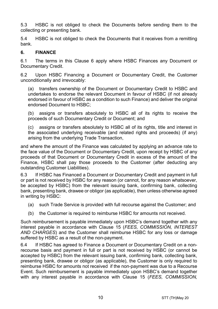5.3 HSBC is not obliged to check the Documents before sending them to the collecting or presenting bank.

5.4 HSBC is not obliged to check the Documents that it receives from a remitting bank.

#### <span id="page-9-0"></span>**6. FINANCE**

6.1 The terms in this Clause [6](#page-9-0) apply where HSBC Finances any Document or Documentary Credit.

6.2 Upon HSBC Financing a Document or Documentary Credit, the Customer unconditionally and irrevocably:

(a) transfers ownership of the Document or Documentary Credit to HSBC and undertakes to endorse the relevant Document in favour of HSBC (if not already endorsed in favour of HSBC as a condition to such Finance) and deliver the original endorsed Document to HSBC;

(b) assigns or transfers absolutely to HSBC all of its rights to receive the proceeds of such Documentary Credit or Document; and

(c) assigns or transfers absolutely to HSBC all of its rights, title and interest in the associated underlying receivable (and related rights and proceeds) (if any) arising from the underlying Trade Transaction,

and where the amount of the Finance was calculated by applying an advance rate to the face value of the Document or Documentary Credit, upon receipt by HSBC of any proceeds of that Document or Documentary Credit in excess of the amount of the Finance, HSBC shall pay those proceeds to the Customer (after deducting any outstanding Customer Liabilities).

6.3 If HSBC has Financed a Document or Documentary Credit and payment in full or part is not received by HSBC for any reason (or cannot, for any reason whatsoever, be accepted by HSBC) from the relevant issuing bank, confirming bank, collecting bank, presenting bank, drawee or obligor (as applicable), then unless otherwise agreed in writing by HSBC:

- (a) such Trade Service is provided with full recourse against the Customer; and
- (b) the Customer is required to reimburse HSBC for amounts not received.

Such reimbursement is payable immediately upon HSBC's demand together with any interest payable in accordance with Clause [15](#page-16-0) (*[FEES, COMMISSION, INTEREST](#page-16-0)  [AND CHARGES](#page-16-0)*) and the Customer shall reimburse HSBC for any loss or damage suffered by HSBC as a result of the non-payment.

6.4 If HSBC has agreed to Finance a Document or Documentary Credit on a nonrecourse basis and payment in full or part is not received by HSBC (or cannot be accepted by HSBC) from the relevant issuing bank, confirming bank, collecting bank, presenting bank, drawee or obligor (as applicable), the Customer is only required to reimburse HSBC for amounts not received if the non-payment was due to a Recourse Event. Such reimbursement is payable immediately upon HSBC's demand together with any interest payable in accordance with Clause [15](#page-16-0) (*[FEES, COMMISSION,](#page-16-0)*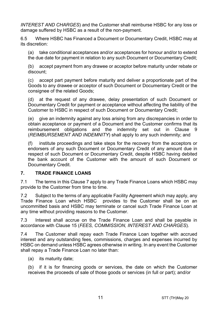*[INTEREST AND CHARGES](#page-16-0)*) and the Customer shall reimburse HSBC for any loss or damage suffered by HSBC as a result of the non-payment.

6.5 Where HSBC has Financed a Document or Documentary Credit, HSBC may at its discretion:

(a) take conditional acceptances and/or acceptances for honour and/or to extend the due date for payment in relation to any such Document or Documentary Credit;

(b) accept payment from any drawee or acceptor before maturity under rebate or discount;

(c) accept part payment before maturity and deliver a proportionate part of the Goods to any drawee or acceptor of such Document or Documentary Credit or the consignee of the related Goods;

(d) at the request of any drawee, delay presentation of such Document or Documentary Credit for payment or acceptance without affecting the liability of the Customer to HSBC in respect of such Document or Documentary Credit;

(e) give an indemnity against any loss arising from any discrepancies in order to obtain acceptance or payment of a Document and the Customer confirms that its reimbursement obligations and the indemnity set out in Clause [9](#page-13-0) (*[REIMBURSEMENT AND INDEMNITY](#page-13-0)*) shall apply to any such indemnity; and

(f) institute proceedings and take steps for the recovery from the acceptors or endorsers of any such Document or Documentary Credit of any amount due in respect of such Document or Documentary Credit, despite HSBC having debited the bank account of the Customer with the amount of such Document or Documentary Credit.

## <span id="page-10-0"></span>**7. TRADE FINANCE LOANS**

7.1 The terms in this Clause [7](#page-10-0) apply to any Trade Finance Loans which HSBC may provide to the Customer from time to time.

7.2 Subject to the terms of any applicable Facility Agreement which may apply, any Trade Finance Loan which HSBC provides to the Customer shall be on an uncommitted basis and HSBC may terminate or cancel such Trade Finance Loan at any time without providing reasons to the Customer.

7.3 Interest shall accrue on the Trade Finance Loan and shall be payable in accordance with Clause [15](#page-16-0) (*[FEES, COMMISSION, INTEREST AND CHARGES](#page-16-0)*).

7.4 The Customer shall repay each Trade Finance Loan together with accrued interest and any outstanding fees, commissions, charges and expenses incurred by HSBC on demand unless HSBC agrees otherwise in writing. In any event the Customer shall repay a Trade Finance Loan no later than:

(a) its maturity date;

(b) if it is for financing goods or services, the date on which the Customer receives the proceeds of sale of those goods or services (in full or part); and/or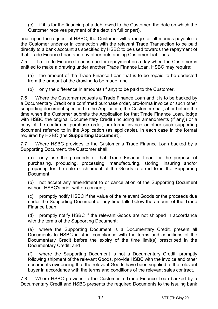(c) if it is for the financing of a debt owed to the Customer, the date on which the Customer receives payment of the debt (in full or part),

and, upon the request of HSBC, the Customer will arrange for all monies payable to the Customer under or in connection with the relevant Trade Transaction to be paid directly to a bank account as specified by HSBC to be used towards the repayment of that Trade Finance Loan and any other outstanding Customer Liabilities.

7.5 If a Trade Finance Loan is due for repayment on a day when the Customer is entitled to make a drawing under another Trade Finance Loan, HSBC may require:

(a) the amount of the Trade Finance Loan that is to be repaid to be deducted from the amount of the drawing to be made; and

(b) only the difference in amounts (if any) to be paid to the Customer.

7.6 Where the Customer requests a Trade Finance Loan and it is to be backed by a Documentary Credit or a confirmed purchase order, pro-forma invoice or such other supporting document specified in the Application, the Customer shall, at or before the time when the Customer submits the Application for that Trade Finance Loan, lodge with HSBC the original Documentary Credit (including all amendments (if any)) or a copy of the confirmed purchase order, pro-forma invoice or other such supporting document referred to in the Application (as applicable), in each case in the format required by HSBC (the **Supporting Document**).

7.7 Where HSBC provides to the Customer a Trade Finance Loan backed by a Supporting Document, the Customer shall:

(a) only use the proceeds of that Trade Finance Loan for the purpose of purchasing, producing, processing, manufacturing, storing, insuring and/or preparing for the sale or shipment of the Goods referred to in the Supporting Document;

(b) not accept any amendment to or cancellation of the Supporting Document without HSBC's prior written consent;

(c) promptly notify HSBC if the value of the relevant Goods or the proceeds due under the Supporting Document at any time falls below the amount of the Trade Finance Loan;

(d) promptly notify HSBC if the relevant Goods are not shipped in accordance with the terms of the Supporting Document;

(e) where the Supporting Document is a Documentary Credit, present all Documents to HSBC in strict compliance with the terms and conditions of the Documentary Credit before the expiry of the time limit(s) prescribed in the Documentary Credit; and

(f) where the Supporting Document is not a Documentary Credit, promptly following shipment of the relevant Goods, provide HSBC with the invoice and other documents evidencing that the relevant Goods have been supplied to the relevant buyer in accordance with the terms and conditions of the relevant sales contract.

7.8 Where HSBC provides to the Customer a Trade Finance Loan backed by a Documentary Credit and HSBC presents the required Documents to the issuing bank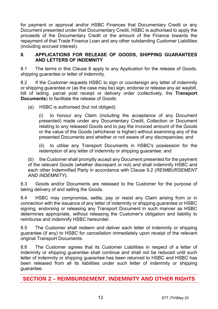for payment or approval and/or HSBC Finances that Documentary Credit or any Document presented under that Documentary Credit, HSBC is authorised to apply the proceeds of the Documentary Credit or the amount of the Finance towards the repayment of that Trade Finance Loan and any other outstanding Customer Liabilities (including accrued interest).

#### <span id="page-12-0"></span>**8. APPLICATIONS FOR RELEASE OF GOODS, SHIPPING GUARANTEES AND LETTERS OF INDEMNITY**

8.1 The terms in this Clause [8](#page-12-0) apply to any Application for the release of Goods, shipping quarantee or letter of indemnity.

8.2 If the Customer requests HSBC to sign or countersign any letter of indemnity or shipping guarantee or (as the case may be) sign, endorse or release any air waybill, bill of lading, parcel post receipt or delivery order (collectively, the **Transport Documents**) to facilitate the release of Goods:

(a) HSBC is authorised (but not obliged):

(i) to honour any Claim (including the acceptance of any Document presented) made under any Documentary Credit, Collection or Document relating to any released Goods and to pay the invoiced amount of the Goods or the value of the Goods (whichever is higher) without examining any of the presented Documents and whether or not aware of any discrepancies; and

(ii) to utilise any Transport Documents in HSBC's possession for the redemption of any letter of indemnity or shipping guarantee; and

(b) the Customer shall promptly accept any Document presented for the payment of the relevant Goods (whether discrepant or not) and shall indemnify HSBC and each other Indemnified Party in accordance with Clause [9.2](#page-13-1) (*[REIMBURSEMENT](#page-13-0)  [AND INDEMNITY](#page-13-0)*).

8.3 Goods and/or Documents are released to the Customer for the purpose of taking delivery of and selling the Goods.

8.4 HSBC may compromise, settle, pay or resist any Claim arising from or in connection with the issuance of any letter of indemnity or shipping guarantee or HSBC signing, endorsing or releasing any Transport Document in such manner as HSBC determines appropriate, without releasing the Customer's obligation and liability to reimburse and indemnify HSBC hereunder.

8.5 The Customer shall redeem and deliver each letter of indemnity or shipping guarantee (if any) to HSBC for cancellation immediately upon receipt of the relevant original Transport Documents.

8.6 The Customer agrees that its Customer Liabilities in respect of a letter of indemnity or shipping guarantee shall continue and shall not be reduced until such letter of indemnity or shipping guarantee has been returned to HSBC and HSBC has been released from all its liabilities under such letter of indemnity or shipping guarantee.

**SECTION 2 – REIMBURSEMENT, INDEMNITY AND OTHER RIGHTS**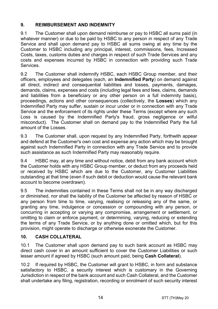# <span id="page-13-0"></span>**9. REIMBURSEMENT AND INDEMNITY**

9.1 The Customer shall upon demand reimburse or pay to HSBC all sums paid (in whatever manner) or due to be paid by HSBC to any person in respect of any Trade Service and shall upon demand pay to HSBC all sums owing at any time by the Customer to HSBC including any principal, interest, commissions, fees, Increased Costs, taxes, customs duties and charges in respect of such Trade Services and any costs and expenses incurred by HSBC in connection with providing such Trade Services.

<span id="page-13-1"></span>9.2 The Customer shall indemnify HSBC, each HSBC Group member, and their officers, employees and delegates (each, an **Indemnified Party**) on demand against all direct, indirect and consequential liabilities and losses, payments, damages, demands, claims, expenses and costs (including legal fees and fees, claims, demands and liabilities from a beneficiary or any other person on a full indemnity basis), proceedings, actions and other consequences (collectively, the **Losses**) which any Indemnified Party may suffer, sustain or incur under or in connection with any Trade Service and the enforcement of its rights under these Terms (except where any such Loss is caused by the Indemnified Party's fraud, gross negligence or wilful misconduct). The Customer shall on demand pay to the Indemnified Party the full amount of the Losses.

9.3 The Customer shall, upon request by any Indemnified Party, forthwith appear and defend at the Customer's own cost and expense any action which may be brought against such Indemnified Party in connection with any Trade Service and to provide such assistance as such Indemnified Party may reasonably require.

9.4 HSBC may, at any time and without notice, debit from any bank account which the Customer holds with any HSBC Group member, or deduct from any proceeds held or received by HSBC which are due to the Customer, any Customer Liabilities outstanding at that time (even if such debit or deduction would cause the relevant bank account to become overdrawn).

9.5 The indemnities contained in these Terms shall not be in any way discharged or diminished, nor shall the liability of the Customer be affected by reason of HSBC or any person from time to time, varying, realising or releasing any of the same, or granting any time, indulgence or concession or compounding with any person, or concurring in accepting or varying any compromise, arrangement or settlement, or omitting to claim or enforce payment, or determining, varying, reducing or extending the terms of any Trade Service, or by anything done or omitted which, but for this provision, might operate to discharge or otherwise exonerate the Customer.

# <span id="page-13-2"></span>**10. CASH COLLATERAL**

10.1 The Customer shall upon demand pay to such bank account as HSBC may direct cash cover in an amount sufficient to cover the Customer Liabilities or such lesser amount if agreed by HSBC (such amount paid, being **Cash Collateral**).

10.2 If required by HSBC, the Customer will grant to HSBC, in form and substance satisfactory to HSBC, a security interest which is customary in the Governing Jurisdiction in respect of the bank account and such Cash Collateral, and the Customer shall undertake any filing, registration, recording or enrolment of such security interest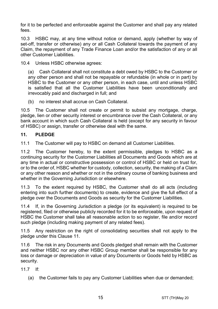for it to be perfected and enforceable against the Customer and shall pay any related fees.

10.3 HSBC may, at any time without notice or demand, apply (whether by way of set-off, transfer or otherwise) any or all Cash Collateral towards the payment of any Claim, the repayment of any Trade Finance Loan and/or the satisfaction of any or all other Customer Liabilities.

10.4 Unless HSBC otherwise agrees:

(a) Cash Collateral shall not constitute a debt owed by HSBC to the Customer or any other person and shall not be repayable or refundable (in whole or in part) by HSBC to the Customer or any other person, in each case, until and unless HSBC is satisfied that all the Customer Liabilities have been unconditionally and irrevocably paid and discharged in full; and

(b) no interest shall accrue on Cash Collateral.

10.5 The Customer shall not create or permit to subsist any mortgage, charge, pledge, lien or other security interest or encumbrance over the Cash Collateral, or any bank account in which such Cash Collateral is held (except for any security in favour of HSBC) or assign, transfer or otherwise deal with the same.

## <span id="page-14-0"></span>**11. PLEDGE**

11.1 The Customer will pay to HSBC on demand all Customer Liabilities.

11.2 The Customer hereby, to the extent permissible, pledges to HSBC as a continuing security for the Customer Liabilities all Documents and Goods which are at any time in actual or constructive possession or control of HSBC or held on trust for, or to the order of, HSBC whether for custody, collection, security, the making of a Claim or any other reason and whether or not in the ordinary course of banking business and whether in the Governing Jurisdiction or elsewhere.

11.3 To the extent required by HSBC, the Customer shall do all acts (including entering into such further documents) to create, evidence and give the full effect of a pledge over the Documents and Goods as security for the Customer Liabilities.

11.4 If, in the Governing Jurisdiction a pledge (or its equivalent) is required to be registered, filed or otherwise publicly recorded for it to be enforceable, upon request of HSBC the Customer shall take all reasonable action to so register, file and/or record such pledge (including making payment of any related fees).

11.5 Any restriction on the right of consolidating securities shall not apply to the pledge under this Clause [11.](#page-14-0)

11.6 The risk in any Documents and Goods pledged shall remain with the Customer and neither HSBC nor any other HSBC Group member shall be responsible for any loss or damage or depreciation in value of any Documents or Goods held by HSBC as security.

11.7 If:

(a) the Customer fails to pay any Customer Liabilities when due or demanded;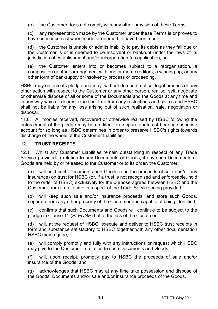(b) the Customer does not comply with any other provision of these Terms;

(c) any representation made by the Customer under these Terms is or proves to have been incorrect when made or deemed to have been made;

(d) the Customer is unable or admits inability to pay its debts as they fall due or the Customer is or is deemed to be insolvent or bankrupt under the laws of its jurisdiction of establishment and/or incorporation (as applicable); or

(e) the Customer enters into or becomes subject to a reorganisation, a composition or other arrangement with one or more creditors, a winding-up, or any other form of bankruptcy or insolvency process or proceeding,

HSBC may enforce its pledge and may, without demand, notice, legal process or any other action with respect to the Customer or any other person, realise, sell, negotiate or otherwise dispose of all or some of the Documents and the Goods at any time and in any way which it deems expedient free from any restrictions and claims and HSBC shall not be liable for any loss arising out of such realisation, sale, negotiation or disposal.

11.8 All monies received, recovered or otherwise realised by HSBC following the enforcement of the pledge may be credited to a separate interest-bearing suspense account for so long as HSBC determines in order to preserve HSBC's rights towards discharge of the whole of the Customer Liabilities.

## **12. TRUST RECEIPTS**

12.1 Whilst any Customer Liabilities remain outstanding in respect of any Trade Service provided in relation to any Documents or Goods, if any such Documents or Goods are held by or released to the Customer or to its order, the Customer:

(a) will hold such Documents and Goods (and the proceeds of sale and/or any insurance) on trust for HSBC (or, if a trust is not recognised and enforceable, hold to the order of HSBC) exclusively for the purpose agreed between HSBC and the Customer from time to time in respect of the Trade Service being provided;

(b) will keep such sale and/or insurance proceeds, and store such Goods, separate from any other property of the Customer and capable of being identified;

(c) confirms that such Documents and Goods will continue to be subject to the pledge in Clause [11](#page-14-0) (*[PLEDGE](#page-14-0)*) but at the risk of the Customer;

(d) will, at the request of HSBC, execute and deliver to HSBC trust receipts in form and substance satisfactory to HSBC together with any other documentation HSBC may require;

(e) will comply promptly and fully with any instructions or request which HSBC may give to the Customer in relation to such Documents and Goods;

(f) will, upon receipt, promptly pay to HSBC the proceeds of sale and/or insurance of the Goods; and

(g) acknowledges that HSBC may at any time take possession and dispose of the Goods, Documents and/or sale and/or insurance proceeds of the Goods.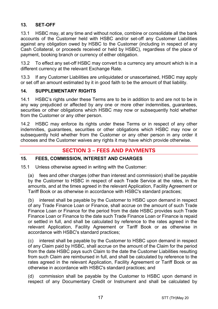# **13. SET-OFF**

13.1 HSBC may, at any time and without notice, combine or consolidate all the bank accounts of the Customer held with HSBC and/or set-off any Customer Liabilities against any obligation owed by HSBC to the Customer (including in respect of any Cash Collateral, or proceeds received or held by HSBC), regardless of the place of payment, booking branch or currency of either obligation.

13.2 To effect any set-off HSBC may convert to a currency any amount which is in a different currency at the relevant Exchange Rate.

13.3 If any Customer Liabilities are unliquidated or unascertained, HSBC may apply or set off an amount estimated by it in good faith to be the amount of that liability.

## **14. SUPPLEMENTARY RIGHTS**

14.1 HSBC's rights under these Terms are to be in addition to and are not to be in any way prejudiced or affected by any one or more other indemnities, guarantees, securities or other obligations which HSBC may now or subsequently hold whether from the Customer or any other person.

14.2 HSBC may enforce its rights under these Terms or in respect of any other indemnities, guarantees, securities or other obligations which HSBC may now or subsequently hold whether from the Customer or any other person in any order it chooses and the Customer waives any rights it may have which provide otherwise.

# **SECTION 3 – FEES AND PAYMENTS**

# <span id="page-16-0"></span>**15. FEES, COMMISSION, INTEREST AND CHARGES**

15.1 Unless otherwise agreed in writing with the Customer:

(a) fees and other charges (other than interest and commission) shall be payable by the Customer to HSBC in respect of each Trade Service at the rates, in the amounts, and at the times agreed in the relevant Application, Facility Agreement or Tariff Book or as otherwise in accordance with HSBC's standard practices;

(b) interest shall be payable by the Customer to HSBC upon demand in respect of any Trade Finance Loan or Finance, shall accrue on the amount of such Trade Finance Loan or Finance for the period from the date HSBC provides such Trade Finance Loan or Finance to the date such Trade Finance Loan or Finance is repaid or settled in full, and shall be calculated by reference to the rates agreed in the relevant Application, Facility Agreement or Tariff Book or as otherwise in accordance with HSBC's standard practices;

(c) interest shall be payable by the Customer to HSBC upon demand in respect of any Claim paid by HSBC, shall accrue on the amount of the Claim for the period from the date HSBC pays such Claim to the date the Customer Liabilities resulting from such Claim are reimbursed in full, and shall be calculated by reference to the rates agreed in the relevant Application, Facility Agreement or Tariff Book or as otherwise in accordance with HSBC's standard practices; and

(d) commission shall be payable by the Customer to HSBC upon demand in respect of any Documentary Credit or Instrument and shall be calculated by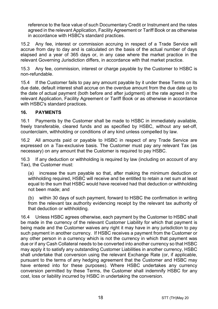reference to the face value of such Documentary Credit or Instrument and the rates agreed in the relevant Application, Facility Agreement or Tariff Book or as otherwise in accordance with HSBC's standard practices.

15.2 Any fee, interest or commission accruing in respect of a Trade Service will accrue from day to day and is calculated on the basis of the actual number of days elapsed and a year of 365 days or, in any case where the market practice in the relevant Governing Jurisdiction differs, in accordance with that market practice.

15.3 Any fee, commission, interest or charge payable by the Customer to HSBC is non-refundable.

15.4 If the Customer fails to pay any amount payable by it under these Terms on its due date, default interest shall accrue on the overdue amount from the due date up to the date of actual payment (both before and after judgment) at the rate agreed in the relevant Application, Facility Agreement or Tariff Book or as otherwise in accordance with HSBC's standard practices.

## **16. PAYMENTS**

16.1 Payments by the Customer shall be made to HSBC in immediately available, freely transferable, cleared funds and as specified by HSBC, without any set-off, counterclaim, withholding or conditions of any kind unless compelled by law.

16.2 All amounts paid or payable to HSBC in respect of any Trade Service are expressed on a Tax-exclusive basis. The Customer must pay any relevant Tax (as necessary) on any amount that the Customer is required to pay HSBC.

16.3 If any deduction or withholding is required by law (including on account of any Tax), the Customer must:

(a) increase the sum payable so that, after making the minimum deduction or withholding required, HSBC will receive and be entitled to retain a net sum at least equal to the sum that HSBC would have received had that deduction or withholding not been made; and

(b) within 30 days of such payment, forward to HSBC the confirmation in writing from the relevant tax authority evidencing receipt by the relevant tax authority of that deduction or withholding.

16.4 Unless HSBC agrees otherwise, each payment by the Customer to HSBC shall be made in the currency of the relevant Customer Liability for which that payment is being made and the Customer waives any right it may have in any jurisdiction to pay such payment in another currency. If HSBC receives a payment from the Customer or any other person in a currency which is not the currency in which that payment was due or if any Cash Collateral needs to be converted into another currency so that HSBC may apply it to satisfy any outstanding Customer Liabilities in another currency, HSBC shall undertake that conversion using the relevant Exchange Rate (or, if applicable, pursuant to the terms of any hedging agreement that the Customer and HSBC may have entered into for these purposes). Where HSBC undertakes any currency conversion permitted by these Terms, the Customer shall indemnify HSBC for any cost, loss or liability incurred by HSBC in undertaking the conversion.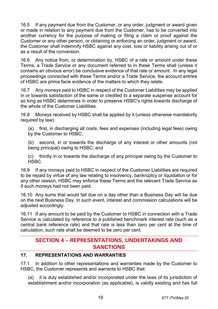16.5 If any payment due from the Customer, or any order, judgment or award given or made in relation to any payment due from the Customer, has to be converted into another currency for the purpose of making or filing a claim or proof against the Customer or any other person, or obtaining or enforcing an order, judgment or award, the Customer shall indemnify HSBC against any cost, loss or liability arising out of or as a result of the conversion.

16.6 Any notice from, or determination by, HSBC of a rate or amount under these Terms, a Trade Service or any document referred to in these Terms shall (unless it contains an obvious error) be conclusive evidence of that rate or amount. In any legal proceedings connected with these Terms and/or a Trade Service, the account entries of HSBC are prima facie evidence of the matters to which they relate.

16.7 Any moneys paid to HSBC in respect of the Customer Liabilities may be applied in or towards satisfaction of the same or credited to a separate suspense account for so long as HSBC determines in order to preserve HSBC's rights towards discharge of the whole of the Customer Liabilities.

16.8 Moneys received by HSBC shall be applied by it (unless otherwise mandatorily required by law):

(a) first, in discharging all costs, fees and expenses (including legal fees) owing by the Customer to HSBC;

(b) second, in or towards the discharge of any interest or other amounts (not being principal) owing to HSBC; and

(c) thirdly in or towards the discharge of any principal owing by the Customer to HSBC.

16.9 If any moneys paid to HSBC in respect of the Customer Liabilities are required to be repaid by virtue of any law relating to insolvency, bankruptcy or liquidation or for any other reason, HSBC may enforce these Terms and the relevant Trade Service as if such moneys had not been paid.

16.10 Any sums that would fall due on a day other than a Business Day will be due on the next Business Day. In such event, interest and commission calculations will be adjusted accordingly.

16.11 If any amount to be paid by the Customer to HSBC in connection with a Trade Service is calculated by reference to a published benchmark interest rate (such as a central bank reference rate) and that rate is less than zero per cent at the time of calculation, such rate shall be deemed to be zero per cent.

# **SECTION 4 – REPRESENTATIONS, UNDERTAKINGS AND SANCTIONS**

## **17. REPRESENTATIONS AND WARRANTIES**

17.1 In addition to other representations and warranties made by the Customer to HSBC, the Customer represents and warrants to HSBC that:

(a) it is duly established and/or incorporated under the laws of its jurisdiction of establishment and/or incorporation (as applicable), is validly existing and has full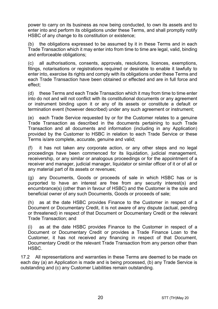power to carry on its business as now being conducted, to own its assets and to enter into and perform its obligations under these Terms, and shall promptly notify HSBC of any change to its constitution or existence;

(b) the obligations expressed to be assumed by it in these Terms and in each Trade Transaction which it may enter into from time to time are legal, valid, binding and enforceable obligations;

(c) all authorisations, consents, approvals, resolutions, licences, exemptions, filings, notarisations or registrations required or desirable to enable it lawfully to enter into, exercise its rights and comply with its obligations under these Terms and each Trade Transaction have been obtained or effected and are in full force and effect;

(d) these Terms and each Trade Transaction which it may from time to time enter into do not and will not conflict with its constitutional documents or any agreement or instrument binding upon it or any of its assets or constitute a default or termination event (however described) under any such agreement or instrument;

(e) each Trade Service requested by or for the Customer relates to a genuine Trade Transaction as described in the documents pertaining to such Trade Transaction and all documents and information (including in any Application) provided by the Customer to HSBC in relation to each Trade Service or these Terms is/are complete, accurate, genuine and valid;

(f) it has not taken any corporate action, or any other steps and no legal proceedings have been commenced for its liquidation, judicial management, receivership, or any similar or analogous proceedings or for the appointment of a receiver and manager, judicial manager, liquidator or similar officer of it or of all or any material part of its assets or revenues;

(g) any Documents, Goods or proceeds of sale in which HSBC has or is purported to have an interest are free from any security interest(s) and encumbrance(s) (other than in favour of HSBC) and the Customer is the sole and beneficial owner of any such Documents, Goods or proceeds of sale;

(h) as at the date HSBC provides Finance to the Customer in respect of a Document or Documentary Credit, it is not aware of any dispute (actual, pending or threatened) in respect of that Document or Documentary Credit or the relevant Trade Transaction; and

(i) as at the date HSBC provides Finance to the Customer in respect of a Document or Documentary Credit or provides a Trade Finance Loan to the Customer, it has not received any financing in respect of that Document, Documentary Credit or the relevant Trade Transaction from any person other than HSBC.

17.2 All representations and warranties in these Terms are deemed to be made on each day (a) an Application is made and is being processed, (b) any Trade Service is outstanding and (c) any Customer Liabilities remain outstanding.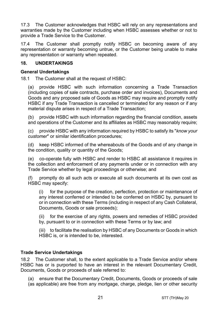17.3 The Customer acknowledges that HSBC will rely on any representations and warranties made by the Customer including when HSBC assesses whether or not to provide a Trade Service to the Customer.

17.4 The Customer shall promptly notify HSBC on becoming aware of any representation or warranty becoming untrue, or the Customer being unable to make any representation or warranty when repeated.

## **18. UNDERTAKINGS**

#### **General Undertakings**

18.1 The Customer shall at the request of HSBC:

(a) provide HSBC with such information concerning a Trade Transaction (including copies of sale contracts, purchase order and invoices), Documents and Goods and any proposed sale of Goods as HSBC may require and promptly notify HSBC if any Trade Transaction is cancelled or terminated for any reason or if any material dispute arises in respect of a Trade Transaction;

(b) provide HSBC with such information regarding the financial condition, assets and operations of the Customer and its affiliates as HSBC may reasonably require;

(c) provide HSBC with any information required by HSBC to satisfy its "*know your customer*" or similar identification procedures;

(d) keep HSBC informed of the whereabouts of the Goods and of any change in the condition, quality or quantity of the Goods;

(e) co-operate fully with HSBC and render to HSBC all assistance it requires in the collection and enforcement of any payments under or in connection with any Trade Service whether by legal proceedings or otherwise; and

(f) promptly do all such acts or execute all such documents at its own cost as HSBC may specify:

(i) for the purpose of the creation, perfection, protection or maintenance of any interest conferred or intended to be conferred on HSBC by, pursuant to or in connection with these Terms (including in respect of any Cash Collateral, Documents, Goods or sale proceeds);

(ii) for the exercise of any rights, powers and remedies of HSBC provided by, pursuant to or in connection with these Terms or by law; and

(iii) to facilitate the realisation by HSBC of any Documents or Goods in which HSBC is, or is intended to be, interested.

## **Trade Service Undertakings**

18.2 The Customer shall, to the extent applicable to a Trade Service and/or where HSBC has or is purported to have an interest in the relevant Documentary Credit, Documents, Goods or proceeds of sale referred to:

(a) ensure that the Documentary Credit, Documents, Goods or proceeds of sale (as applicable) are free from any mortgage, charge, pledge, lien or other security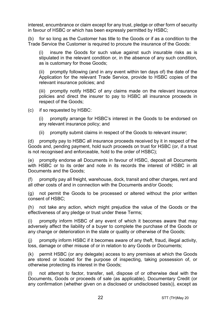interest, encumbrance or claim except for any trust, pledge or other form of security in favour of HSBC or which has been expressly permitted by HSBC;

(b) for so long as the Customer has title to the Goods or if as a condition to the Trade Service the Customer is required to procure the insurance of the Goods:

(i) insure the Goods for such value against such insurable risks as is stipulated in the relevant condition or, in the absence of any such condition, as is customary for those Goods;

(ii) promptly following (and in any event within ten days of) the date of the Application for the relevant Trade Service, provide to HSBC copies of the relevant insurance policies; and

(iii) promptly notify HSBC of any claims made on the relevant insurance policies and direct the insurer to pay to HSBC all insurance proceeds in respect of the Goods;

(c) if so requested by HSBC:

(i) promptly arrange for HSBC's interest in the Goods to be endorsed on any relevant insurance policy; and

(ii) promptly submit claims in respect of the Goods to relevant insurer;

(d) promptly pay to HSBC all insurance proceeds received by it in respect of the Goods and, pending payment, hold such proceeds on trust for HSBC (or, if a trust is not recognised and enforceable, hold to the order of HSBC);

(e) promptly endorse all Documents in favour of HSBC, deposit all Documents with HSBC or to its order and note in its records the interest of HSBC in all Documents and the Goods;

(f) promptly pay all freight, warehouse, dock, transit and other charges, rent and all other costs of and in connection with the Documents and/or Goods;

(g) not permit the Goods to be processed or altered without the prior written consent of HSBC;

(h) not take any action, which might prejudice the value of the Goods or the effectiveness of any pledge or trust under these Terms;

(i) promptly inform HSBC of any event of which it becomes aware that may adversely affect the liability of a buyer to complete the purchase of the Goods or any change or deterioration in the state or quality or otherwise of the Goods;

(j) promptly inform HSBC if it becomes aware of any theft, fraud, illegal activity, loss, damage or other misuse of or in relation to any Goods or Documents;

(k) permit HSBC (or any delegate) access to any premises at which the Goods are stored or located for the purpose of inspecting, taking possession of, or otherwise protecting its interest in the Goods;

(l) not attempt to factor, transfer, sell, dispose of or otherwise deal with the Documents, Goods or proceeds of sale (as applicable), Documentary Credit (or any confirmation (whether given on a disclosed or undisclosed basis)), except as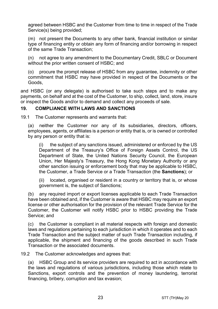agreed between HSBC and the Customer from time to time in respect of the Trade Service(s) being provided;

(m) not present the Documents to any other bank, financial institution or similar type of financing entity or obtain any form of financing and/or borrowing in respect of the same Trade Transaction;

(n) not agree to any amendment to the Documentary Credit, SBLC or Document without the prior written consent of HSBC; and

(o) procure the prompt release of HSBC from any guarantee, indemnity or other commitment that HSBC may have provided in respect of the Documents or the Goods,

and HSBC (or any delegate) is authorised to take such steps and to make any payments, on behalf and at the cost of the Customer, to ship, collect, land, store, insure or inspect the Goods and/or to demand and collect any proceeds of sale.

## <span id="page-22-0"></span>**19. COMPLIANCE WITH LAWS AND SANCTIONS**

19.1 The Customer represents and warrants that:

(a) neither the Customer nor any of its subsidiaries, directors, officers, employees, agents, or affiliates is a person or entity that is, or is owned or controlled by any person or entity that is:

(i) the subject of any sanctions issued, administered or enforced by the US Department of the Treasury's Office of Foreign Assets Control, the US Department of State, the United Nations Security Council, the European Union, Her Majesty's Treasury, the Hong Kong Monetary Authority or any other sanction issuing or enforcement body that may be applicable to HSBC, the Customer, a Trade Service or a Trade Transaction (the **Sanctions**); or

(ii) located, organised or resident in a country or territory that is, or whose government is, the subject of Sanctions;

(b) any required import or export licenses applicable to each Trade Transaction have been obtained and, if the Customer is aware that HSBC may require an export license or other authorisation for the provision of the relevant Trade Service for the Customer, the Customer will notify HSBC prior to HSBC providing the Trade Service; and

(c) the Customer is compliant in all material respects with foreign and domestic laws and regulations pertaining to each jurisdiction in which it operates and to each Trade Transaction and the subject matter of such Trade Transaction including, if applicable, the shipment and financing of the goods described in such Trade Transaction or the associated documents.

19.2 The Customer acknowledges and agrees that:

(a) HSBC Group and its service providers are required to act in accordance with the laws and regulations of various jurisdictions, including those which relate to Sanctions, export controls and the prevention of money laundering, terrorist financing, bribery, corruption and tax evasion;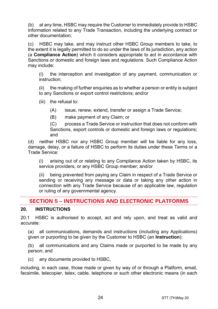(b) at any time, HSBC may require the Customer to immediately provide to HSBC information related to any Trade Transaction, including the underlying contract or other documentation;

(c) HSBC may take, and may instruct other HSBC Group members to take, to the extent it is legally permitted to do so under the laws of its jurisdiction, any action (a **Compliance Action**) which it considers appropriate to act in accordance with Sanctions or domestic and foreign laws and regulations. Such Compliance Action may include:

(i) the interception and investigation of any payment, communication or instruction;

(ii) the making of further enquiries as to whether a person or entity is subject to any Sanctions or export control restrictions; and/or

(iii) the refusal to:

(A) issue, renew, extend, transfer or assign a Trade Service;

(B) make payment of any Claim; or

(C) process a Trade Service or instruction that does not conform with Sanctions, export controls or domestic and foreign laws or regulations; and

(d) neither HSBC nor any HSBC Group member will be liable for any loss, damage, delay, or a failure of HSBC to perform its duties under these Terms or a Trade Service:

(i) arising out of or relating to any Compliance Action taken by HSBC, its service providers, or any HSBC Group member; and/or

(ii) being prevented from paying any Claim in respect of a Trade Service or sending or receiving any message or data or taking any other action in connection with any Trade Service because of an applicable law, regulation or ruling of any governmental agency.

# **SECTION 5 – INSTRUCTIONS AND ELECTRONIC PLATFORMS**

# <span id="page-23-0"></span>**20. INSTRUCTIONS**

20.1 HSBC is authorised to accept, act and rely upon, and treat as valid and accurate:

(a) all communications, demands and instructions (including any Applications) given or purporting to be given by the Customer to HSBC (an **Instruction**);

(b) all communications and any Claims made or purported to be made by any person; and

(c) any documents provided to HSBC,

including, in each case, those made or given by way of or through a Platform, email, facsimile, telecopier, telex, cable, telephone or such other electronic means (in each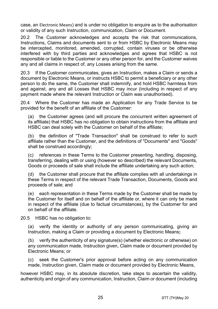case, an Electronic Means) and is under no obligation to enquire as to the authorisation or validity of any such Instruction, communication, Claim or Document.

20.2 The Customer acknowledges and accepts the risk that communications, Instructions, Claims and documents sent to or from HSBC by Electronic Means may be intercepted, monitored, amended, corrupted, contain viruses or be otherwise interfered with by third parties and acknowledges and agrees that HSBC is not responsible or liable to the Customer or any other person for, and the Customer waives any and all claims in respect of, any Losses arising from the same.

20.3 If the Customer communicates, gives an Instruction, makes a Claim or sends a document by Electronic Means, or instructs HSBC to permit a beneficiary or any other person to do the same, the Customer shall indemnify, and hold HSBC harmless from and against, any and all Losses that HSBC may incur (including in respect of any payment made where the relevant Instruction or Claim was unauthorised).

20.4 Where the Customer has made an Application for any Trade Service to be provided for the benefit of an affiliate of the Customer:

(a) the Customer agrees (and will procure the concurrent written agreement of its affiliate) that HSBC has no obligation to obtain instructions from the affiliate and HSBC can deal solely with the Customer on behalf of the affiliate;

(b) the definition of "Trade Transaction" shall be construed to refer to such affiliate rather than the Customer, and the definitions of "Documents" and "Goods" shall be construed accordingly;

(c) references in these Terms to the Customer presenting, handling, disposing, transferring, dealing with or using (however so described) the relevant Documents, Goods or proceeds of sale shall include the affiliate undertaking any such action;

(d) the Customer shall procure that the affiliate complies with all undertakings in these Terms in respect of the relevant Trade Transaction, Documents, Goods and proceeds of sale; and

(e) each representation in these Terms made by the Customer shall be made by the Customer for itself and on behalf of the affiliate or, where it can only be made in respect of the affiliate (due to factual circumstances), by the Customer for and on behalf of the affiliate.

20.5 HSBC has no obligation to:

(a) verify the identity or authority of any person communicating, giving an Instruction, making a Claim or providing a document by Electronic Means**;**

(b) verify the authenticity of any signature(s) (whether electronic or otherwise) on any communication made, Instruction given, Claim made or document provided by Electronic Means; or

(c) seek the Customer's prior approval before acting on any communication made, Instruction given, Claim made or document provided by Electronic Means,

however HSBC may, in its absolute discretion, take steps to ascertain the validity, authenticity and origin of any communication, Instruction, Claim or document (including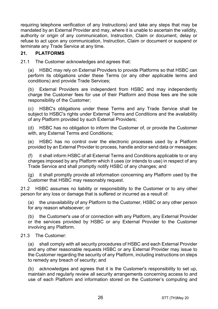requiring telephone verification of any Instructions) and take any steps that may be mandated by an External Provider and may, where it is unable to ascertain the validity, authority or origin of any communication, Instruction, Claim or document, delay or refuse to act upon any communication, Instruction, Claim or document or suspend or terminate any Trade Service at any time.

## **21. PLATFORMS**

21.1 The Customer acknowledges and agrees that:

(a) HSBC may rely on External Providers to provide Platforms so that HSBC can perform its obligations under these Terms (or any other applicable terms and conditions) and provide Trade Services;

(b) External Providers are independent from HSBC and may independently charge the Customer fees for use of their Platform and those fees are the sole responsibility of the Customer;

(c) HSBC's obligations under these Terms and any Trade Service shall be subject to HSBC's rights under External Terms and Conditions and the availability of any Platform provided by such External Providers;

(d) HSBC has no obligation to inform the Customer of, or provide the Customer with, any External Terms and Conditions;

(e) HSBC has no control over the electronic processes used by a Platform provided by an External Provider to process, handle and/or send data or messages;

(f) it shall inform HSBC of all External Terms and Conditions applicable to or any charges imposed by any Platform which it uses (or intends to use) in respect of any Trade Service and shall promptly notify HSBC of any changes; and

(g) it shall promptly provide all information concerning any Platform used by the Customer that HSBC may reasonably request.

21.2 HSBC assumes no liability or responsibility to the Customer or to any other person for any loss or damage that is suffered or incurred as a result of:

(a) the unavailability of any Platform to the Customer, HSBC or any other person for any reason whatsoever; or

(b) the Customer's use of or connection with any Platform, any External Provider or the services provided by HSBC or any External Provider to the Customer involving any Platform.

## 21.3 The Customer:

(a) shall comply with all security procedures of HSBC and each External Provider and any other reasonable requests HSBC or any External Provider may issue to the Customer regarding the security of any Platform, including instructions on steps to remedy any breach of security; and

(b) acknowledges and agrees that it is the Customer's responsibility to set up, maintain and regularly review all security arrangements concerning access to and use of each Platform and information stored on the Customer's computing and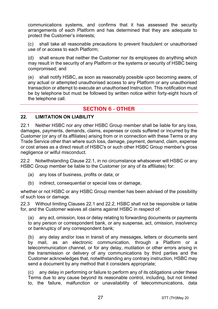communications systems, and confirms that it has assessed the security arrangements of each Platform and has determined that they are adequate to protect the Customer's interests;

(c) shall take all reasonable precautions to prevent fraudulent or unauthorised use of or access to each Platform;

(d) shall ensure that neither the Customer nor its employees do anything which may result in the security of any Platform or the systems or security of HSBC being compromised; and

(e) shall notify HSBC, as soon as reasonably possible upon becoming aware, of any actual or attempted unauthorised access to any Platform or any unauthorised transaction or attempt to execute an unauthorised Instruction. This notification must be by telephone but must be followed by written notice within forty-eight hours of the telephone call.

# **SECTION 6 - OTHER**

#### **22. LIMITATION ON LIABILITY**

<span id="page-26-0"></span>22.1 Neither HSBC nor any other HSBC Group member shall be liable for any loss, damages, payments, demands, claims, expenses or costs suffered or incurred by the Customer (or any of its affiliates) arising from or in connection with these Terms or any Trade Service other than where such loss, damage, payment, demand, claim, expense or cost arises as a direct result of HSBC's or such other HSBC Group member's gross negligence or wilful misconduct.

<span id="page-26-1"></span>22.2 Notwithstanding Clause [22.1,](#page-26-0) in no circumstance whatsoever will HSBC or any HSBC Group member be liable to the Customer (or any of its affiliates) for:

- (a) any loss of business, profits or data; or
- (b) indirect, consequential or special loss or damage,

whether or not HSBC or any HSBC Group member has been advised of the possibility of such loss or damage.

22.3 Without limiting Clauses [22.1](#page-26-0) and [22.2,](#page-26-1) HSBC shall not be responsible or liable for, and the Customer waives all claims against HSBC in respect of:

(a) any act, omission, loss or delay relating to forwarding documents or payments to any person or correspondent bank, or any suspense, act, omission, insolvency or bankruptcy of any correspondent bank;

(b) any delay and/or loss in transit of any messages, letters or documents sent by mail, as an electronic communication, through a Platform or a telecommunication channel, or for any delay, mutilation or other errors arising in the transmission or delivery of any communications by third parties and the Customer acknowledges that, notwithstanding any contrary instruction, HSBC may send a document by any method that it considers appropriate;

(c) any delay in performing or failure to perform any of its obligations under these Terms due to any cause beyond its reasonable control, including, but not limited to, the failure, malfunction or unavailability of telecommunications, data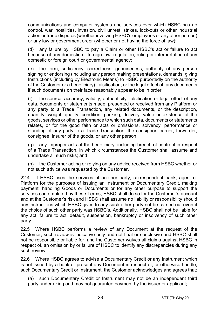communications and computer systems and services over which HSBC has no control, war, hostilities, invasion, civil unrest, strikes, lock-outs or other industrial action or trade disputes (whether involving HSBC's employees or any other person) or any law or government order (whether or not having the force of law);

(d) any failure by HSBC to pay a Claim or other HSBC's act or failure to act because of any domestic or foreign law, regulation, ruling or interpretation of any domestic or foreign court or governmental agency;

(e) the form, sufficiency, correctness, genuineness, authority of any person signing or endorsing (including any person making presentations, demands, giving Instructions (including by Electronic Means) to HSBC purportedly on the authority of the Customer or a beneficiary), falsification, or the legal effect of, any documents if such documents on their face reasonably appear to be in order;

(f) the source, accuracy, validity, authenticity, falsification or legal effect of any data, documents or statements made, presented or received from any Platform or any party to a Trade Transaction, any related documents, or the description, quantity, weight, quality, condition, packing, delivery, value or existence of the goods, services or other performance to which such data, documents or statements relates, or for the good faith or acts or omissions, solvency, performance or standing of any party to a Trade Transaction, the consignor, carrier, forwarder, consignee, insurer of the goods, or any other person;

(g) any improper acts of the beneficiary, including breach of contract in respect of a Trade Transaction, in which circumstances the Customer shall assume and undertake all such risks; and

(h) the Customer acting or relying on any advice received from HSBC whether or not such advice was requested by the Customer.

22.4 If HSBC uses the services of another party, correspondent bank, agent or Platform for the purposes of issuing an Instrument or Documentary Credit, making payment, handling Goods or Documents or for any other purpose to support the services contemplated by these Terms, HSBC shall do so for the Customer's account and at the Customer's risk and HSBC shall assume no liability or responsibility should any instructions which HSBC gives to any such other party not be carried out even if the choice of such other party was HSBC's. Additionally, HSBC shall not be liable for any act, failure to act, default, suspension, bankruptcy or insolvency of such other party.

22.5 Where HSBC performs a review of any Document at the request of the Customer, such review is indicative only and not final or conclusive and HSBC shall not be responsible or liable for, and the Customer waives all claims against HSBC in respect of, an omission by or failure of HSBC to identify any discrepancies during any such review.

22.6 Where HSBC agrees to advise a Documentary Credit or any Instrument which is not issued by a bank or present any Document in respect of, or otherwise handle, such Documentary Credit or Instrument, the Customer acknowledges and agrees that:

(a) such Documentary Credit or Instrument may not be an independent third party undertaking and may not guarantee payment by the issuer or applicant;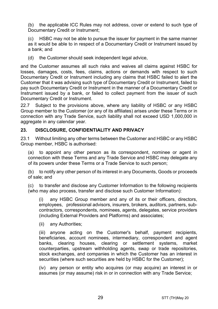(b) the applicable ICC Rules may not address, cover or extend to such type of Documentary Credit or Instrument;

(c) HSBC may not be able to pursue the issuer for payment in the same manner as it would be able to in respect of a Documentary Credit or Instrument issued by a bank; and

(d) the Customer should seek independent legal advice,

and the Customer assumes all such risks and waives all claims against HSBC for losses, damages, costs, fees, claims, actions or demands with respect to such Documentary Credit or Instrument including any claims that HSBC failed to alert the Customer that it was advising such type of Documentary Credit or Instrument, failed to pay such Documentary Credit or Instrument in the manner of a Documentary Credit or Instrument issued by a bank, or failed to collect payment from the issuer of such Documentary Credit or Instrument.

22.7 Subject to the provisions above, where any liability of HSBC or any HSBC Group member to the Customer (or any of its affiliates) arises under these Terms or in connection with any Trade Service, such liability shall not exceed USD 1,000,000 in aggregate in any calendar year.

## <span id="page-28-1"></span>**23. DISCLOSURE, CONFIDENTIALITY AND PRIVACY**

23.1 Without limiting any other terms between the Customer and HSBC or any HSBC Group member, HSBC is authorised:

<span id="page-28-0"></span>(a) to appoint any other person as its correspondent, nominee or agent in connection with these Terms and any Trade Service and HSBC may delegate any of its powers under these Terms or a Trade Service to such person;

(b) to notify any other person of its interest in any Documents, Goods or proceeds of sale; and

(c) to transfer and disclose any Customer Information to the following recipients (who may also process, transfer and disclose such Customer Information):

(i) any HSBC Group member and any of its or their officers, directors, employees, professional advisors, insurers, brokers, auditors, partners, subcontractors, correspondents, nominees, agents, delegates, service providers (including External Providers and Platforms) and associates;

(ii) any Authorities;

(iii) anyone acting on the Customer's behalf, payment recipients, beneficiaries, account nominees, intermediary, correspondent and agent banks, clearing houses, clearing or settlement systems, market counterparties, upstream withholding agents, swap or trade repositories, stock exchanges, and companies in which the Customer has an interest in securities (where such securities are held by HSBC for the Customer);

(iv) any person or entity who acquires (or may acquire) an interest in or assumes (or may assume) risk in or in connection with any Trade Service;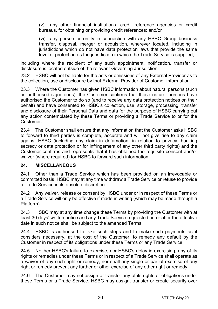(v) any other financial institutions, credit reference agencies or credit bureaus, for obtaining or providing credit references; and/or

(vi) any person or entity in connection with any HSBC Group business transfer, disposal, merger or acquisition, wherever located, including in jurisdictions which do not have data protection laws that provide the same level of protection as the jurisdiction in which the Trade Service is supplied,

including where the recipient of any such appointment, notification, transfer or disclosure is located outside of the relevant Governing Jurisdiction.

23.2 HSBC will not be liable for the acts or omissions of any External Provider as to the collection, use or disclosure by that External Provider of Customer Information.

23.3 Where the Customer has given HSBC information about natural persons (such as authorised signatories), the Customer confirms that those natural persons have authorised the Customer to do so (and to receive any data protection notices on their behalf) and have consented to HSBC's collection, use, storage, processing, transfer and disclosure of their Personal Data and data for the purpose of HSBC carrying out any action contemplated by these Terms or providing a Trade Service to or for the Customer.

23.4 The Customer shall ensure that any information that the Customer asks HSBC to forward to third parties is complete, accurate and will not give rise to any claim against HSBC (including any claim in defamation, in relation to privacy, banking secrecy or data protection or for infringement of any other third party rights) and the Customer confirms and represents that it has obtained the requisite consent and/or waiver (where required) for HSBC to forward such information.

## **24. MISCELLANEOUS**

24.1 Other than a Trade Service which has been provided on an irrevocable or committed basis, HSBC may at any time withdraw a Trade Service or refuse to provide a Trade Service in its absolute discretion.

24.2 Any waiver, release or consent by HSBC under or in respect of these Terms or a Trade Service will only be effective if made in writing (which may be made through a Platform).

24.3 HSBC may at any time change these Terms by providing the Customer with at least 30 days' written notice and any Trade Service requested on or after the effective date in such notice shall be subject to the amended Terms.

24.4 HSBC is authorised to take such steps and to make such payments as it considers necessary, at the cost of the Customer, to remedy any default by the Customer in respect of its obligations under these Terms or any Trade Service.

24.5 Neither HSBC's failure to exercise, nor HSBC's delay in exercising, any of its rights or remedies under these Terms or in respect of a Trade Service shall operate as a waiver of any such right or remedy, nor shall any single or partial exercise of any right or remedy prevent any further or other exercise of any other right or remedy.

24.6 The Customer may not assign or transfer any of its rights or obligations under these Terms or a Trade Service. HSBC may assign, transfer or create security over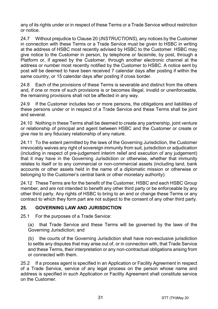any of its rights under or in respect of these Terms or a Trade Service without restriction or notice.

24.7 Without prejudice to Claus[e 20](#page-23-0) (*[INSTRUCTIONS](#page-23-0)*), any notices by the Customer in connection with these Terms or a Trade Service must be given to HSBC in writing at the address of HSBC most recently advised by HSBC to the Customer. HSBC may give notice to the Customer in person, by telephone or facsimile, by post, through a Platform or, if agreed by the Customer, through another electronic channel at the address or number most recently notified by the Customer to HSBC. A notice sent by post will be deemed to have been received 7 calendar days after posting if within the same country, or 15 calendar days after posting if cross border.

24.8 Each of the provisions of these Terms is severable and distinct from the others and, if one or more of such provisions is or becomes illegal, invalid or unenforceable, the remaining provisions shall not be affected in any way.

24.9 If the Customer includes two or more persons, the obligations and liabilities of these persons under or in respect of a Trade Service and these Terms shall be joint and several.

24.10 Nothing in these Terms shall be deemed to create any partnership, joint venture or relationship of principal and agent between HSBC and the Customer or create or give rise to any fiduciary relationship of any nature.

24.11 To the extent permitted by the laws of the Governing Jurisdiction, the Customer irrevocably waives any right of sovereign immunity from suit, jurisdiction or adjudication (including in respect of pre-judgement interim relief and execution of any judgement) that it may have in the Governing Jurisdiction or otherwise, whether that immunity relates to itself or to any commercial or non-commercial assets (including land, bank accounts or other assets held in the name of a diplomatic mission or otherwise or belonging to the Customer's central bank or other monetary authority).

24.12 These Terms are for the benefit of the Customer, HSBC and each HSBC Group member, and are not intended to benefit any other third party or be enforceable by any other third party. Any rights of HSBC to bring to an end or change these Terms or any contract to which they form part are not subject to the consent of any other third party.

## **25. GOVERNING LAW AND JURISDICTION**

25.1 For the purposes of a Trade Service:

(a) that Trade Service and these Terms will be governed by the laws of the Governing Jurisdiction; and

(b) the courts of the Governing Jurisdiction shall have non-exclusive jurisdiction to settle any disputes that may arise out of, or in connection with, that Trade Service and these Terms, their interpretation or any non-contractual obligations arising from or connected with them.

25.2 If a process agent is specified in an Application or Facility Agreement in respect of a Trade Service, service of any legal process on the person whose name and address is specified in such Application or Facility Agreement shall constitute service on the Customer.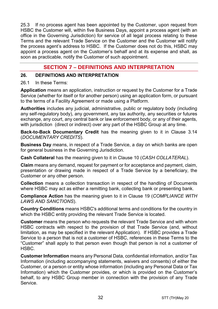25.3 If no process agent has been appointed by the Customer, upon request from HSBC the Customer will, within five Business Days, appoint a process agent (with an office in the Governing Jurisdiction) for service of all legal process relating to these Terms and the relevant Trade Service on the Customer and the Customer will notify the process agent's address to HSBC. If the Customer does not do this, HSBC may appoint a process agent on the Customer's behalf and at its expense and shall, as soon as practicable, notify the Customer of such appointment.

# **SECTION 7 – DEFINITIONS AND INTERPRETATION**

#### **26. DEFINITIONS AND INTERPRETATION**

#### 26.1 In these Terms:

**Application** means an application, instruction or request by the Customer for a Trade Service (whether for itself or for another person) using an application form, or pursuant to the terms of a Facility Agreement or made using a Platform.

**Authorities** includes any judicial, administrative, public or regulatory body (including any self-regulatory body), any government, any tax authority, any securities or futures exchange, any court, any central bank or law enforcement body, or any of their agents, with jurisdiction (direct or indirect) over any part of the HSBC Group at any time.

**Back-to-Back Documentary Credit** has the meaning given to it in Clause [3.14](#page-5-0) (*[DOCUMENTARY CREDITS](#page-3-0)*).

**Business Day** means, in respect of a Trade Service, a day on which banks are open for general business in the Governing Jurisdiction.

**Cash Collateral** has the meaning given to it in Clause [10](#page-13-2) (*[CASH COLLATERAL](#page-13-2)*).

**Claim** means any demand, request for payment or for acceptance and payment, claim, presentation or drawing made in respect of a Trade Service by a beneficiary, the Customer or any other person.

**Collection** means a collection transaction in respect of the handling of Documents where HSBC may act as either a remitting bank, collecting bank or presenting bank.

**Compliance Action** has the meaning given to it in Clause [19](#page-22-0) (*[COMPLIANCE WITH](#page-22-0)  [LAWS AND SANCTIONS](#page-22-0)*).

**Country Conditions** means HSBC's additional terms and conditions for the country in which the HSBC entity providing the relevant Trade Service is located.

**Customer** means the person who requests the relevant Trade Service and with whom HSBC contracts with respect to the provision of that Trade Service (and, without limitation, as may be specified in the relevant Application). If HSBC provides a Trade Service to a person that is not a customer of HSBC, references in these Terms to the "Customer" shall apply to that person even though that person is not a customer of HSBC.

**Customer Information** means any Personal Data, confidential information, and/or Tax Information (including accompanying statements, waivers and consents) of either the Customer, or a person or entity whose information (including any Personal Data or Tax Information) which the Customer provides, or which is provided on the Customer's behalf, to any HSBC Group member in connection with the provision of any Trade Service.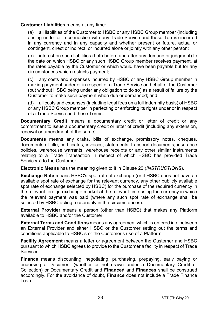#### **Customer Liabilities** means at any time:

(a) all liabilities of the Customer to HSBC or any HSBC Group member (including arising under or in connection with any Trade Service and these Terms) incurred in any currency and in any capacity and whether present or future, actual or contingent, direct or indirect, or incurred alone or jointly with any other person;

(b) interest on such liabilities (both before and after any demand or judgment) to the date on which HSBC or any such HSBC Group member receives payment, at the rates payable by the Customer or which would have been payable but for any circumstances which restricts payment;

(c) any costs and expenses incurred by HSBC or any HSBC Group member in making payment under or in respect of a Trade Service on behalf of the Customer (but without HSBC being under any obligation to do so) as a result of failure by the Customer to make such payment when due or demanded; and

(d) all costs and expenses (including legal fees on a full indemnity basis) of HSBC or any HSBC Group member in perfecting or enforcing its rights under or in respect of a Trade Service and these Terms.

**Documentary Credit** means a documentary credit or letter of credit or any commitment to issue a documentary credit or letter of credit (including any extension, renewal or amendment of the same).

**Documents** means any drafts, bills of exchange, promissory notes, cheques, documents of title, certificates, invoices, statements, transport documents, insurance policies, warehouse warrants, warehouse receipts or any other similar instruments relating to a Trade Transaction in respect of which HSBC has provided Trade Service(s) to the Customer.

**Electronic Means** has the meaning given to it in Clause [20 \(](#page-23-0)*[INSTRUCTIONS](#page-23-0)*).

**Exchange Rate** means HSBC's spot rate of exchange (or if HSBC does not have an available spot rate of exchange for the relevant currency, any other publicly available spot rate of exchange selected by HSBC) for the purchase of the required currency in the relevant foreign exchange market at the relevant time using the currency in which the relevant payment was paid (where any such spot rate of exchange shall be selected by HSBC acting reasonably in the circumstances).

**External Provider** means a person (other than HSBC) that makes any Platform available to HSBC and/or the Customer.

**External Terms and Conditions** means any agreement which is entered into between an External Provider and either HSBC or the Customer setting out the terms and conditions applicable to HSBC's or the Customer's use of a Platform.

**Facility Agreement** means a letter or agreement between the Customer and HSBC pursuant to which HSBC agrees to provide to the Customer a facility in respect of Trade Services.

**Finance** means discounting, negotiating, purchasing, prepaying, early paying or endorsing a Document (whether or not drawn under a Documentary Credit or Collection) or Documentary Credit and **Financed** and **Finances** shall be construed accordingly. For the avoidance of doubt, **Finance** does not include a Trade Finance Loan.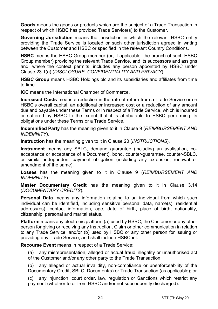**Goods** means the goods or products which are the subject of a Trade Transaction in respect of which HSBC has provided Trade Service(s) to the Customer.

**Governing Jurisdiction** means the jurisdiction in which the relevant HSBC entity providing the Trade Service is located or such other jurisdiction agreed in writing between the Customer and HSBC or specified in the relevant Country Conditions.

**HSBC** means the HSBC Group member (or, if applicable, the branch of such HSBC Group member) providing the relevant Trade Service, and its successors and assigns and, where the context permits, includes any person appointed by HSBC under Clause [23.1\(a\)](#page-28-0) (*[DISCLOSURE, CONFIDENTIALITY AND PRIVACY](#page-28-1)*).

**HSBC Group** means HSBC Holdings plc and its subsidiaries and affiliates from time to time.

**ICC** means the International Chamber of Commerce.

**Increased Costs** means a reduction in the rate of return from a Trade Service or on HSBC's overall capital, an additional or increased cost or a reduction of any amount due and payable under these Terms or in respect of a Trade Service, which is incurred or suffered by HSBC to the extent that it is attributable to HSBC performing its obligations under these Terms or a Trade Service.

**Indemnified Party** has the meaning given to it in Claus[e 9](#page-13-0) (*[REIMBURSEMENT AND](#page-13-0)  [INDEMNITY](#page-13-0)*).

**Instruction** has the meaning given to it in Clause [20](#page-23-0) (*[INSTRUCTIONS](#page-23-0)*).

**Instrument** means any SBLC, demand guarantee (including an avalisation, coacceptance or acceptance of a Document), bond, counter-guarantee, counter-SBLC, or similar independent payment obligation (including any extension, renewal or amendment of the same).

**Losses** has the meaning given to it in Clause [9](#page-13-0) (*[REIMBURSEMENT AND](#page-13-0)  [INDEMNITY](#page-13-0)*).

**Master Documentary Credit** has the meaning given to it in Clause [3.14](#page-5-0) (*[DOCUMENTARY CREDITS](#page-3-0)*).

**Personal Data** means any information relating to an individual from which such individual can be identified, including sensitive personal data, name(s), residential address(es), contact information, age, date of birth, place of birth, nationality, citizenship, personal and marital status.

**Platform** means any electronic platform (a) used by HSBC, the Customer or any other person for giving or receiving any Instruction, Claim or other communication in relation to any Trade Service, and/or (b) used by HSBC or any other person for issuing or providing any Trade Service, and shall include HSBCnet.

**Recourse Event** means in respect of a Trade Service:

(a) any misrepresentation, alleged or actual fraud, illegality or unauthorised act of the Customer and/or any other party to the Trade Transaction;

(b) any alleged or actual invalidity, non-compliance or unenforceability of the Documentary Credit, SBLC, Document(s) or Trade Transaction (as applicable); or

(c) any injunction, court order, law, regulation or Sanctions which restrict any payment (whether to or from HSBC and/or not subsequently discharged).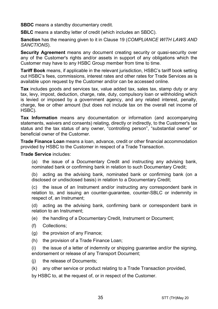**SBDC** means a standby documentary credit.

**SBLC** means a standby letter of credit (which includes an SBDC).

**Sanction** has the meaning given to it in Clause [19](#page-22-0) (*[COMPLIANCE WITH LAWS AND](#page-22-0)  [SANCTIONS](#page-22-0)*).

**Security Agreement** means any document creating security or quasi-security over any of the Customer's rights and/or assets in support of any obligations which the Customer may have to any HSBC Group member from time to time.

**Tariff Book** means, if applicable in the relevant jurisdiction, HSBC's tariff book setting out HSBC's fees, commissions, interest rates and other rates for Trade Services as is available upon request by the Customer and/or can be accessed online.

**Tax** includes goods and services tax, value added tax, sales tax, stamp duty or any tax, levy, impost, deduction, charge, rate, duty, compulsory loan or withholding which is levied or imposed by a government agency, and any related interest, penalty, charge, fee or other amount (but does not include tax on the overall net income of HSBC).

**Tax Information** means any documentation or information (and accompanying statements, waivers and consents) relating, directly or indirectly, to the Customer's tax status and the tax status of any owner, "controlling person", "substantial owner" or beneficial owner of the Customer.

**Trade Finance Loan** means a loan, advance, credit or other financial accommodation provided by HSBC to the Customer in respect of a Trade Transaction.

**Trade Service** includes:

(a) the issue of a Documentary Credit and instructing any advising bank, nominated bank or confirming bank in relation to such Documentary Credit;

(b) acting as the advising bank, nominated bank or confirming bank (on a disclosed or undisclosed basis) in relation to a Documentary Credit;

(c) the issue of an Instrument and/or instructing any correspondent bank in relation to, and issuing an counter-guarantee, counter-SBLC or indemnity in respect of, an Instrument;

(d) acting as the advising bank, confirming bank or correspondent bank in relation to an Instrument;

(e) the handling of a Documentary Credit, Instrument or Document;

- (f) Collections;
- (g) the provision of any Finance;
- (h) the provision of a Trade Finance Loan;

(i) the issue of a letter of indemnity or shipping guarantee and/or the signing, endorsement or release of any Transport Document;

- (j) the release of Documents;
- (k) any other service or product relating to a Trade Transaction provided,

by HSBC to, at the request of, or in respect of the Customer.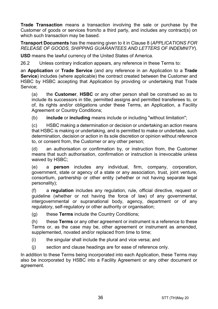**Trade Transaction** means a transaction involving the sale or purchase by the Customer of goods or services from/to a third party, and includes any contract(s) on which such transaction may be based.

**Transport Documents** has the meaning given to it in Clause [8](#page-12-0) (*[APPLICATIONS FOR](#page-12-0)  [RELEASE OF GOODS, SHIPPING GUARANTEES AND](#page-12-0) LETTERS OF INDEMNITY*).

**USD** means the lawful currency of the United States of America.

26.2 Unless contrary indication appears, any reference in these Terms to:

an **Application** or **Trade Service** (and any reference in an Application to a **Trade Service**) includes (where applicable) the contract created between the Customer and HSBC by HSBC accepting that Application by providing or undertaking that Trade Service;

(a) the **Customer**, **HSBC** or any other person shall be construed so as to include its successors in title, permitted assigns and permitted transferees to, or of, its rights and/or obligations under these Terms, an Application, a Facility Agreement or Country Conditions;

(b) **include** or **including** means include or including "without limitation";

(c) HSBC making a determination or decision or undertaking an action means that HSBC is making or undertaking, and is permitted to make or undertake, such determination, decision or action in its sole discretion or opinion without reference to, or consent from, the Customer or any other person;

(d) an authorisation or confirmation by, or instruction from, the Customer means that such authorisation, confirmation or instruction is irrevocable unless waived by HSBC;

(e) a **person** includes any individual, firm, company, corporation, government, state or agency of a state or any association, trust, joint venture, consortium, partnership or other entity (whether or not having separate legal personality);

(f) a **regulation** includes any regulation, rule, official directive, request or guideline (whether or not having the force of law) of any governmental, intergovernmental or supranational body, agency, department or of any regulatory, self-regulatory or other authority or organisation;

(g) these **Terms** include the Country Conditions;

(h) these **Terms** or any other agreement or instrument is a reference to these Terms or, as the case may be, other agreement or instrument as amended, supplemented, novated and/or replaced from time to time;

- (i) the singular shall include the plural and vice versa; and
- (j) section and clause headings are for ease of reference only.

In addition to these Terms being incorporated into each Application, these Terms may also be incorporated by HSBC into a Facility Agreement or any other document or agreement.